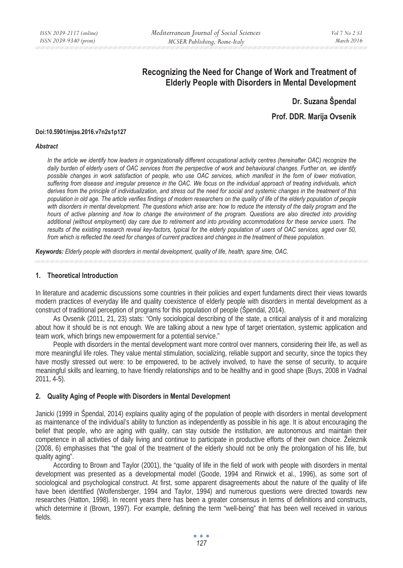# **Recognizing the Need for Change of Work and Treatment of Elderly People with Disorders in Mental Development**

**Dr. Suzana Špendal** 

**Prof. DDR. Marija Ovsenik** 

#### **Doi:10.5901/mjss.2016.v7n2s1p127**

#### *Abstract*

In the article we identify how leaders in organizationally different occupational activity centres (hereinafter OAC) recognize the daily burden of elderly users of OAC services from the perspective of work and behavioural changes. Further on, we identify *possible changes in work satisfaction of people, who use OAC services, which manifest in the form of lower motivation, suffering from disease and irregular presence in the OAC. We focus on the individual approach of treating individuals, which derives from the principle of individualization, and stress out the need for social and systemic changes in the treatment of this population in old age. The article verifies findings of modern researchers on the quality of life of the elderly population of people*  with disorders in mental development. The questions which arise are: how to reduce the intensity of the daily program and the *hours of active planning and how to change the environment of the program. Questions are also directed into providing additional (without employment) day care due to retirement and into providing accommodations for these service users. The results of the existing research reveal key-factors, typical for the elderly population of users of OAC services, aged over 50, from which is reflected the need for changes of current practices and changes in the treatment of these population.* 

*Keywords: Elderly people with disorders in mental development, quality of life, health, spare time, OAC.*

### **1. Theoretical Introduction**

In literature and academic discussions some countries in their policies and expert fundaments direct their views towards modern practices of everyday life and quality coexistence of elderly people with disorders in mental development as a construct of traditional perception of programs for this population of people (Špendal, 2014).

As Ovsenik (2011, 21, 23) stats: "Only sociological describing of the state, a critical analysis of it and moralizing about how it should be is not enough. We are talking about a new type of target orientation, systemic application and team work, which brings new empowerment for a potential service."

People with disorders in the mental development want more control over manners, considering their life, as well as more meaningful life roles. They value mental stimulation, socializing, reliable support and security, since the topics they have mostly stressed out were: to be empowered, to be actively involved, to have the sense of security, to acquire meaningful skills and learning, to have friendly relationships and to be healthy and in good shape (Buys, 2008 in Vadnal 2011, 4-5).

## **2. Quality Aging of People with Disorders in Mental Development**

Janicki (1999 in Špendal, 2014) explains quality aging of the population of people with disorders in mental development as maintenance of the individual's ability to function as independently as possible in his age. It is about encouraging the belief that people, who are aging with quality, can stay outside the institution, are autonomous and maintain their competence in all activities of daily living and continue to participate in productive efforts of their own choice. Železnik (2008, 6) emphasises that "the goal of the treatment of the elderly should not be only the prolongation of his life, but quality aging".

According to Brown and Taylor (2001), the "quality of life in the field of work with people with disorders in mental development was presented as a developmental model (Goode, 1994 and Rinwick et al., 1996), as some sort of sociological and psychological construct. At first, some apparent disagreements about the nature of the quality of life have been identified (Wolfensberger, 1994 and Taylor, 1994) and numerous questions were directed towards new researches (Hatton, 1998). In recent years there has been a greater consensus in terms of definitions and constructs, which determine it (Brown, 1997). For example, defining the term "well-being" that has been well received in various fields.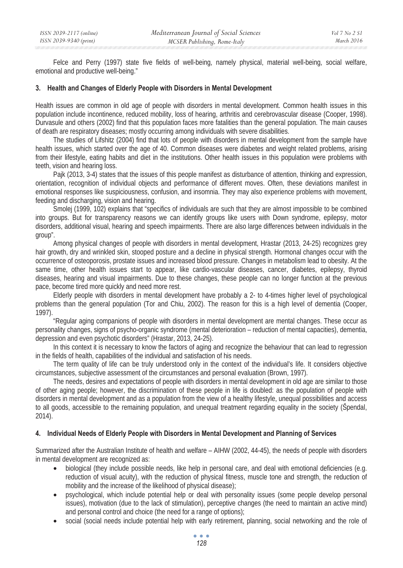Felce and Perry (1997) state five fields of well-being, namely physical, material well-being, social welfare, emotional and productive well-being."

## **3. Health and Changes of Elderly People with Disorders in Mental Development**

Health issues are common in old age of people with disorders in mental development. Common health issues in this population include incontinence, reduced mobility, loss of hearing, arthritis and cerebrovascular disease (Cooper, 1998). Durvasule and others (2002) find that this population faces more fatalities than the general population. The main causes of death are respiratory diseases; mostly occurring among individuals with severe disabilities.

The studies of Lifshitz (2004) find that lots of people with disorders in mental development from the sample have health issues, which started over the age of 40. Common diseases were diabetes and weight related problems, arising from their lifestyle, eating habits and diet in the institutions. Other health issues in this population were problems with teeth, vision and hearing loss.

Pajk (2013, 3-4) states that the issues of this people manifest as disturbance of attention, thinking and expression, orientation, recognition of individual objects and performance of different moves. Often, these deviations manifest in emotional responses like suspiciousness, confusion, and insomnia. They may also experience problems with movement, feeding and discharging, vision and hearing.

Smolej (1999, 102) explains that "specifics of individuals are such that they are almost impossible to be combined into groups. But for transparency reasons we can identify groups like users with Down syndrome, epilepsy, motor disorders, additional visual, hearing and speech impairments. There are also large differences between individuals in the group".

Among physical changes of people with disorders in mental development, Hrastar (2013, 24-25) recognizes grey hair growth, dry and wrinkled skin, stooped posture and a decline in physical strength. Hormonal changes occur with the occurrence of osteoporosis, prostate issues and increased blood pressure. Changes in metabolism lead to obesity. At the same time, other health issues start to appear, like cardio-vascular diseases, cancer, diabetes, epilepsy, thyroid diseases, hearing and visual impairments. Due to these changes, these people can no longer function at the previous pace, become tired more quickly and need more rest.

Elderly people with disorders in mental development have probably a 2- to 4-times higher level of psychological problems than the general population (Tor and Chiu, 2002). The reason for this is a high level of dementia (Cooper, 1997).

"Regular aging companions of people with disorders in mental development are mental changes. These occur as personality changes, signs of psycho-organic syndrome (mental deterioration – reduction of mental capacities), dementia, depression and even psychotic disorders" (Hrastar, 2013, 24-25).

In this context it is necessary to know the factors of aging and recognize the behaviour that can lead to regression in the fields of health, capabilities of the individual and satisfaction of his needs.

The term quality of life can be truly understood only in the context of the individual's life. It considers objective circumstances, subjective assessment of the circumstances and personal evaluation (Brown, 1997).

The needs, desires and expectations of people with disorders in mental development in old age are similar to those of other aging people; however, the discrimination of these people in life is doubled: as the population of people with disorders in mental development and as a population from the view of a healthy lifestyle, unequal possibilities and access to all goods, accessible to the remaining population, and unequal treatment regarding equality in the society (Špendal, 2014).

## **4. Individual Needs of Elderly People with Disorders in Mental Development and Planning of Services**

Summarized after the Australian Institute of health and welfare – AIHW (2002, 44-45), the needs of people with disorders in mental development are recognized as:

- biological (they include possible needs, like help in personal care, and deal with emotional deficiencies (e.g. reduction of visual acuity), with the reduction of physical fitness, muscle tone and strength, the reduction of mobility and the increase of the likelihood of physical disease);
- psychological, which include potential help or deal with personality issues (some people develop personal issues), motivation (due to the lack of stimulation), perceptive changes (the need to maintain an active mind) and personal control and choice (the need for a range of options);
- social (social needs include potential help with early retirement, planning, social networking and the role of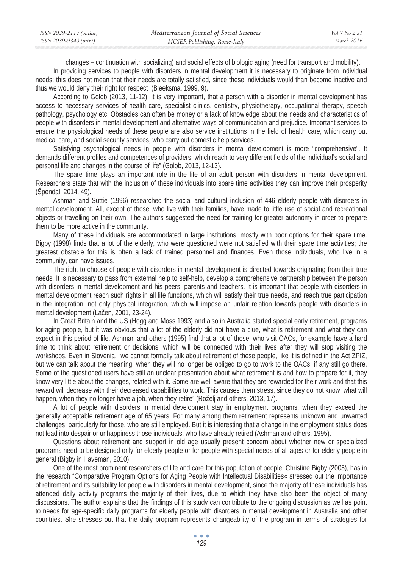| ISSN 2039-2117 (online) | Mediterranean Journal of Social Sciences | Vol 7 No 2 S1 |
|-------------------------|------------------------------------------|---------------|
| ISSN 2039-9340 (print)  | MCSER Publishing, Rome-Italy             | March 2016    |

changes – continuation with socializing) and social effects of biologic aging (need for transport and mobility).

In providing services to people with disorders in mental development it is necessary to originate from individual needs; this does not mean that their needs are totally satisfied, since these individuals would than become inactive and thus we would deny their right for respect (Bleeksma, 1999, 9).

According to Golob (2013, 11-12), it is very important, that a person with a disorder in mental development has access to necessary services of health care, specialist clinics, dentistry, physiotherapy, occupational therapy, speech pathology, psychology etc. Obstacles can often be money or a lack of knowledge about the needs and characteristics of people with disorders in mental development and alternative ways of communication and prejudice. Important services to ensure the physiological needs of these people are also service institutions in the field of health care, which carry out medical care, and social security services, who carry out domestic help services.

Satisfying psychological needs in people with disorders in mental development is more "comprehensive". It demands different profiles and competences of providers, which reach to very different fields of the individual's social and personal life and changes in the course of life" (Golob, 2013, 12-13).

The spare time plays an important role in the life of an adult person with disorders in mental development. Researchers state that with the inclusion of these individuals into spare time activities they can improve their prosperity (Špendal, 2014, 49).

Ashman and Suttie (1996) researched the social and cultural inclusion of 446 elderly people with disorders in mental development. All, except of those, who live with their families, have made to little use of social and recreational objects or travelling on their own. The authors suggested the need for training for greater autonomy in order to prepare them to be more active in the community.

Many of these individuals are accommodated in large institutions, mostly with poor options for their spare time. Bigby (1998) finds that a lot of the elderly, who were questioned were not satisfied with their spare time activities; the greatest obstacle for this is often a lack of trained personnel and finances. Even those individuals, who live in a community, can have issues.

The right to choose of people with disorders in mental development is directed towards originating from their true needs. It is necessary to pass from external help to self-help, develop a comprehensive partnership between the person with disorders in mental development and his peers, parents and teachers. It is important that people with disorders in mental development reach such rights in all life functions, which will satisfy their true needs, and reach true participation in the integration, not only physical integration, which will impose an unfair relation towards people with disorders in mental development (Lačen, 2001, 23-24).

In Great Britain and the US (Hogg and Moss 1993) and also in Australia started special early retirement, programs for aging people, but it was obvious that a lot of the elderly did not have a clue, what is retirement and what they can expect in this period of life. Ashman and others (1995) find that a lot of those, who visit OACs, for example have a hard time to think about retirement or decisions, which will be connected with their lives after they will stop visiting the workshops. Even in Slovenia, "we cannot formally talk about retirement of these people, like it is defined in the Act ZPIZ, but we can talk about the meaning, when they will no longer be obliged to go to work to the OACs, if any still go there. Some of the questioned users have still an unclear presentation about what retirement is and how to prepare for it, they know very little about the changes, related with it. Some are well aware that they are rewarded for their work and that this reward will decrease with their decreased capabilities to work. This causes them stress, since they do not know, what will happen, when they no longer have a job, when they retire" (Roželj and others, 2013, 17).

A lot of people with disorders in mental development stay in employment programs, when they exceed the generally acceptable retirement age of 65 years. For many among them retirement represents unknown and unwanted challenges, particularly for those, who are still employed. But it is interesting that a change in the employment status does not lead into despair or unhappiness those individuals, who have already retired (Ashman and others, 1995).

Questions about retirement and support in old age usually present concern about whether new or specialized programs need to be designed only for elderly people or for people with special needs of all ages or for elderly people in general (Bigby in Haveman, 2010).

One of the most prominent researchers of life and care for this population of people, Christine Bigby (2005), has in the research "Comparative Program Options for Aging People with Intellectual Disabilities« stressed out the importance of retirement and its suitability for people with disorders in mental development, since the majority of these individuals has attended daily activity programs the majority of their lives, due to which they have also been the object of many discussions. The author explains that the findings of this study can contribute to the ongoing discussion as well as point to needs for age-specific daily programs for elderly people with disorders in mental development in Australia and other countries. She stresses out that the daily program represents changeability of the program in terms of strategies for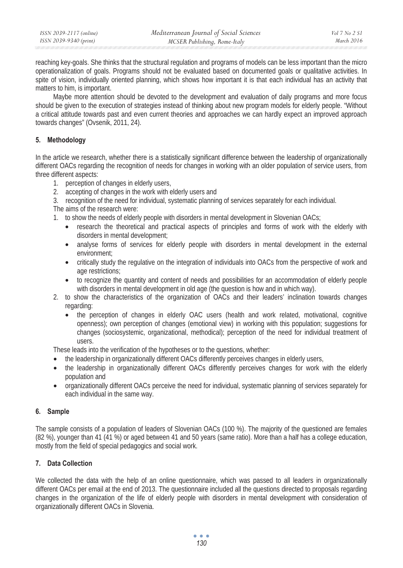| ISSN 2039-2117 (online) | Mediterranean Journal of Social Sciences | Vol 7 No 2 S1 |
|-------------------------|------------------------------------------|---------------|
| ISSN 2039-9340 (print)  | MCSER Publishing, Rome-Italy             | March 2016    |

reaching key-goals. She thinks that the structural regulation and programs of models can be less important than the micro operationalization of goals. Programs should not be evaluated based on documented goals or qualitative activities. In spite of vision, individually oriented planning, which shows how important it is that each individual has an activity that matters to him, is important.

Maybe more attention should be devoted to the development and evaluation of daily programs and more focus should be given to the execution of strategies instead of thinking about new program models for elderly people. "Without a critical attitude towards past and even current theories and approaches we can hardly expect an improved approach towards changes" (Ovsenik, 2011, 24).

# **5. Methodology**

In the article we research, whether there is a statistically significant difference between the leadership of organizationally different OACs regarding the recognition of needs for changes in working with an older population of service users, from three different aspects:

- 1. perception of changes in elderly users,
- 2. accepting of changes in the work with elderly users and
- 3. recognition of the need for individual, systematic planning of services separately for each individual.

The aims of the research were:

- 1. to show the needs of elderly people with disorders in mental development in Slovenian OACs;
	- research the theoretical and practical aspects of principles and forms of work with the elderly with disorders in mental development;
	- analyse forms of services for elderly people with disorders in mental development in the external environment;
	- critically study the regulative on the integration of individuals into OACs from the perspective of work and age restrictions;
	- to recognize the quantity and content of needs and possibilities for an accommodation of elderly people with disorders in mental development in old age (the question is how and in which way).
- 2. to show the characteristics of the organization of OACs and their leaders' inclination towards changes regarding:
	- the perception of changes in elderly OAC users (health and work related, motivational, cognitive openness); own perception of changes (emotional view) in working with this population; suggestions for changes (sociosystemic, organizational, methodical); perception of the need for individual treatment of users.

These leads into the verification of the hypotheses or to the questions, whether:

- the leadership in organizationally different OACs differently perceives changes in elderly users,
- the leadership in organizationally different OACs differently perceives changes for work with the elderly population and
- organizationally different OACs perceive the need for individual, systematic planning of services separately for each individual in the same way.

## **6. Sample**

The sample consists of a population of leaders of Slovenian OACs (100 %). The majority of the questioned are females (82 %), younger than 41 (41 %) or aged between 41 and 50 years (same ratio). More than a half has a college education, mostly from the field of special pedagogics and social work.

# **7. Data Collection**

We collected the data with the help of an online questionnaire, which was passed to all leaders in organizationally different OACs per email at the end of 2013. The questionnaire included all the questions directed to proposals regarding changes in the organization of the life of elderly people with disorders in mental development with consideration of organizationally different OACs in Slovenia.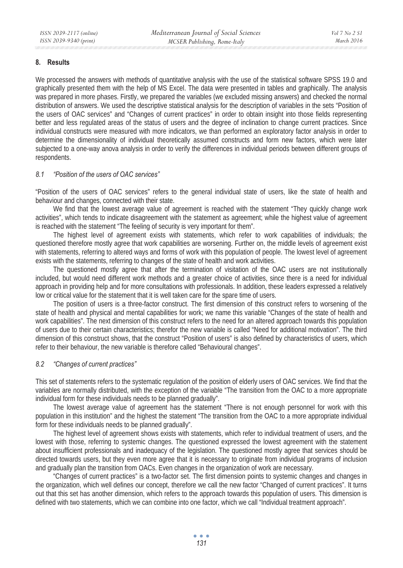## **8. Results**

We processed the answers with methods of quantitative analysis with the use of the statistical software SPSS 19.0 and graphically presented them with the help of MS Excel. The data were presented in tables and graphically. The analysis was prepared in more phases. Firstly, we prepared the variables (we excluded missing answers) and checked the normal distribution of answers. We used the descriptive statistical analysis for the description of variables in the sets "Position of the users of OAC services" and "Changes of current practices" in order to obtain insight into those fields representing better and less regulated areas of the status of users and the degree of inclination to change current practices. Since individual constructs were measured with more indicators, we than performed an exploratory factor analysis in order to determine the dimensionality of individual theoretically assumed constructs and form new factors, which were later subjected to a one-way anova analysis in order to verify the differences in individual periods between different groups of respondents.

# *8.1 "Position of the users of OAC services"*

"Position of the users of OAC services" refers to the general individual state of users, like the state of health and behaviour and changes, connected with their state.

We find that the lowest average value of agreement is reached with the statement "They quickly change work activities", which tends to indicate disagreement with the statement as agreement; while the highest value of agreement is reached with the statement "The feeling of security is very important for them".

The highest level of agreement exists with statements, which refer to work capabilities of individuals; the questioned therefore mostly agree that work capabilities are worsening. Further on, the middle levels of agreement exist with statements, referring to altered ways and forms of work with this population of people. The lowest level of agreement exists with the statements, referring to changes of the state of health and work activities.

The questioned mostly agree that after the termination of visitation of the OAC users are not institutionally included, but would need different work methods and a greater choice of activities, since there is a need for individual approach in providing help and for more consultations with professionals. In addition, these leaders expressed a relatively low or critical value for the statement that it is well taken care for the spare time of users.

The position of users is a three-factor construct. The first dimension of this construct refers to worsening of the state of health and physical and mental capabilities for work; we name this variable "Changes of the state of health and work capabilities". The next dimension of this construct refers to the need for an altered approach towards this population of users due to their certain characteristics; therefor the new variable is called "Need for additional motivation". The third dimension of this construct shows, that the construct "Position of users" is also defined by characteristics of users, which refer to their behaviour, the new variable is therefore called "Behavioural changes".

## *8.2 "Changes of current practices"*

This set of statements refers to the systematic regulation of the position of elderly users of OAC services. We find that the variables are normally distributed, with the exception of the variable "The transition from the OAC to a more appropriate individual form for these individuals needs to be planned gradually".

The lowest average value of agreement has the statement "There is not enough personnel for work with this population in this institution" and the highest the statement "The transition from the OAC to a more appropriate individual form for these individuals needs to be planned gradually".

The highest level of agreement shows exists with statements, which refer to individual treatment of users, and the lowest with those, referring to systemic changes. The questioned expressed the lowest agreement with the statement about insufficient professionals and inadequacy of the legislation. The questioned mostly agree that services should be directed towards users, but they even more agree that it is necessary to originate from individual programs of inclusion and gradually plan the transition from OACs. Even changes in the organization of work are necessary.

"Changes of current practices" is a two-factor set. The first dimension points to systemic changes and changes in the organization, which well defines our concept, therefore we call the new factor "Changed of current practices". It turns out that this set has another dimension, which refers to the approach towards this population of users. This dimension is defined with two statements, which we can combine into one factor, which we call "Individual treatment approach".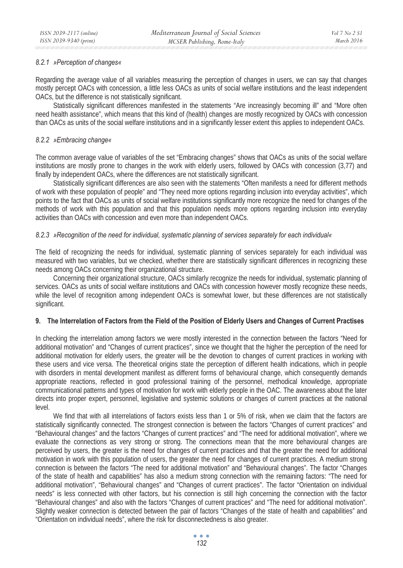## *8.2.1 »Perception of changes«*

Regarding the average value of all variables measuring the perception of changes in users, we can say that changes mostly percept OACs with concession, a little less OACs as units of social welfare institutions and the least independent OACs, but the difference is not statistically significant.

Statistically significant differences manifested in the statements "Are increasingly becoming ill" and "More often need health assistance", which means that this kind of (health) changes are mostly recognized by OACs with concession than OACs as units of the social welfare institutions and in a significantly lesser extent this applies to independent OACs.

# *8.2.2 »Embracing change«*

The common average value of variables of the set "Embracing changes" shows that OACs as units of the social welfare institutions are mostly prone to changes in the work with elderly users, followed by OACs with concession (3,77) and finally by independent OACs, where the differences are not statistically significant.

Statistically significant differences are also seen with the statements "Often manifests a need for different methods of work with these population of people" and "They need more options regarding inclusion into everyday activities", which points to the fact that OACs as units of social welfare institutions significantly more recognize the need for changes of the methods of work with this population and that this population needs more options regarding inclusion into everyday activities than OACs with concession and even more than independent OACs.

# *8.2.3 »Recognition of the need for individual, systematic planning of services separately for each individual«*

The field of recognizing the needs for individual, systematic planning of services separately for each individual was measured with two variables, but we checked, whether there are statistically significant differences in recognizing these needs among OACs concerning their organizational structure.

Concerning their organizational structure, OACs similarly recognize the needs for individual, systematic planning of services. OACs as units of social welfare institutions and OACs with concession however mostly recognize these needs, while the level of recognition among independent OACs is somewhat lower, but these differences are not statistically significant.

# **9. The Interrelation of Factors from the Field of the Position of Elderly Users and Changes of Current Practises**

In checking the interrelation among factors we were mostly interested in the connection between the factors "Need for additional motivation" and "Changes of current practices", since we thought that the higher the perception of the need for additional motivation for elderly users, the greater will be the devotion to changes of current practices in working with these users and vice versa. The theoretical origins state the perception of different health indications, which in people with disorders in mental development manifest as different forms of behavioural change, which consequently demands appropriate reactions, reflected in good professional training of the personnel, methodical knowledge, appropriate communicational patterns and types of motivation for work with elderly people in the OAC. The awareness about the later directs into proper expert, personnel, legislative and systemic solutions or changes of current practices at the national level.

We find that with all interrelations of factors exists less than 1 or 5% of risk, when we claim that the factors are statistically significantly connected. The strongest connection is between the factors "Changes of current practices" and "Behavioural changes" and the factors "Changes of current practices" and "The need for additional motivation", where we evaluate the connections as very strong or strong. The connections mean that the more behavioural changes are perceived by users, the greater is the need for changes of current practices and that the greater the need for additional motivation in work with this population of users, the greater the need for changes of current practices. A medium strong connection is between the factors "The need for additional motivation" and "Behavioural changes". The factor "Changes of the state of health and capabilities" has also a medium strong connection with the remaining factors: "The need for additional motivation", "Behavioural changes" and "Changes of current practices". The factor "Orientation on individual needs" is less connected with other factors, but his connection is still high concerning the connection with the factor "Behavioural changes" and also with the factors "Changes of current practices" and "The need for additional motivation". Slightly weaker connection is detected between the pair of factors "Changes of the state of health and capabilities" and "Orientation on individual needs", where the risk for disconnectedness is also greater.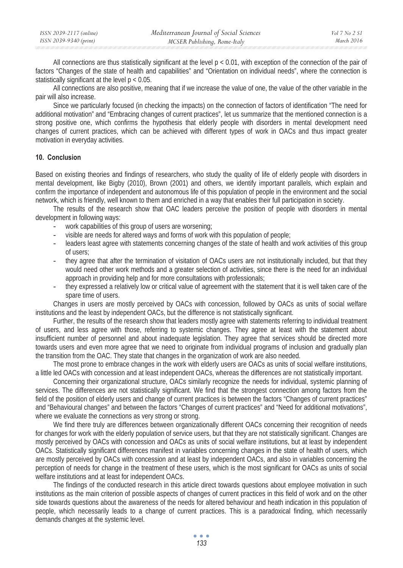All connections are thus statistically significant at the level p < 0.01, with exception of the connection of the pair of factors "Changes of the state of health and capabilities" and "Orientation on individual needs", where the connection is statistically significant at the level p < 0.05.

All connections are also positive, meaning that if we increase the value of one, the value of the other variable in the pair will also increase.

Since we particularly focused (in checking the impacts) on the connection of factors of identification "The need for additional motivation" and "Embracing changes of current practices", let us summarize that the mentioned connection is a strong positive one, which confirms the hypothesis that elderly people with disorders in mental development need changes of current practices, which can be achieved with different types of work in OACs and thus impact greater motivation in everyday activities.

## **10. Conclusion**

Based on existing theories and findings of researchers, who study the quality of life of elderly people with disorders in mental development, like Bigby (2010), Brown (2001) and others, we identify important parallels, which explain and confirm the importance of independent and autonomous life of this population of people in the environment and the social network, which is friendly, well known to them and enriched in a way that enables their full participation in society.

The results of the research show that OAC leaders perceive the position of people with disorders in mental development in following ways:

- work capabilities of this group of users are worsening;
- visible are needs for altered ways and forms of work with this population of people;
- leaders least agree with statements concerning changes of the state of health and work activities of this group of users;
- they agree that after the termination of visitation of OACs users are not institutionally included, but that they would need other work methods and a greater selection of activities, since there is the need for an individual approach in providing help and for more consultations with professionals;
- they expressed a relatively low or critical value of agreement with the statement that it is well taken care of the spare time of users.

Changes in users are mostly perceived by OACs with concession, followed by OACs as units of social welfare institutions and the least by independent OACs, but the difference is not statistically significant.

Further, the results of the research show that leaders mostly agree with statements referring to individual treatment of users, and less agree with those, referring to systemic changes. They agree at least with the statement about insufficient number of personnel and about inadequate legislation. They agree that services should be directed more towards users and even more agree that we need to originate from individual programs of inclusion and gradually plan the transition from the OAC. They state that changes in the organization of work are also needed.

The most prone to embrace changes in the work with elderly users are OACs as units of social welfare institutions, a little led OACs with concession and at least independent OACs, whereas the differences are not statistically important.

Concerning their organizational structure, OACs similarly recognize the needs for individual, systemic planning of services. The differences are not statistically significant. We find that the strongest connection among factors from the field of the position of elderly users and change of current practices is between the factors "Changes of current practices" and "Behavioural changes" and between the factors "Changes of current practices" and "Need for additional motivations", where we evaluate the connections as very strong or strong.

We find there truly are differences between organizationally different OACs concerning their recognition of needs for changes for work with the elderly population of service users, but that they are not statistically significant. Changes are mostly perceived by OACs with concession and OACs as units of social welfare institutions, but at least by independent OACs. Statistically significant differences manifest in variables concerning changes in the state of health of users, which are mostly perceived by OACs with concession and at least by independent OACs, and also in variables concerning the perception of needs for change in the treatment of these users, which is the most significant for OACs as units of social welfare institutions and at least for independent OACs.

The findings of the conducted research in this article direct towards questions about employee motivation in such institutions as the main criterion of possible aspects of changes of current practices in this field of work and on the other side towards questions about the awareness of the needs for altered behaviour and heath indication in this population of people, which necessarily leads to a change of current practices. This is a paradoxical finding, which necessarily demands changes at the systemic level.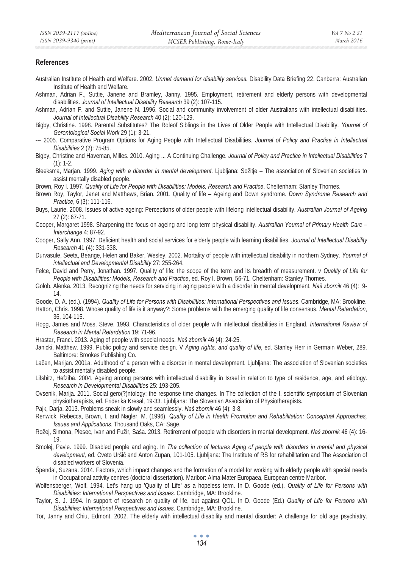#### **References**

- Australian Institute of Health and Welfare. 2002. *Unmet demand for disability services.* Disability Data Briefing 22. Canberra: Australian Institute of Health and Welfare.
- Ashman, Adrian F., Suttie, Janene and Bramley, Janny. 1995. Employment, retirement and elderly persons with developmental disabilities. *Journal of Intellectual Disability Research* 39 (2): 107-115.
- Ashman, Adrian F. and Suttie, Janene N. 1996. Social and community involvement of older Australians with intellectual disabilities. *Journal of Intellectual Disability Research* 40 (2): 120-129.
- Bigby, Christine. 1998. Parental Substitutes? The Roleof Siblings in the Lives of Older People with Intellectual Disability. *Yournal of Gerontological Social Work* 29 (1): 3-21.
- --- 2005. Comparative Program Options for Aging People with Intellectual Disabilities. *Journal of Policy and Practise in Intellectual Disabilities* 2 (2): 75-85.
- Bigby, Christine and Haveman, Milles. 2010. Aging ... A Continuing Challenge. *Journal of Policy and Practice in Intellectual Disabilities* 7  $(1): 1-2.$

Bleeksma, Marjan. 1999. *Aging with a disorder in mental development.* Ljubljana: Sožitje – The association of Slovenian societies to assist mentally disabled people.

Brown, Roy I. 1997. *Quality of Life for People with Disabilities: Models, Research and Practice*. Cheltenham: Stanley Thornes.

- Brown Roy, Taylor, Janet and Matthews, Brian. 2001. Quality of life Ageing and Down syndrome. *Down Syndrome Research and Practice*, 6 (3); 111-116.
- Buys, Laurie. 2008. Issues of active ageing: Perceptions of older people with lifelong intellectual disability. *Australian Journal of Ageing* 27 (2): 67-71.
- Cooper, Margaret 1998. Sharpening the focus on ageing and long term physical disability. *Australian Yournal of Primary Health Care Interchange* 4: 87-92.
- Cooper, Sally Ann. 1997. Deficient health and social services for elderly people with learning disabilities. *Journal of Intellectual Disability Research* 41 (4): 331-338.
- Durvasule, Seeta, Beange, Helen and Baker, Wesley. 2002. Mortality of people with intellectual disability in northern Sydney. *Yournal of intellectual and Developmental Disability* 27: 255-264.
- Felce, David and Perry, Jonathan. 1997. Quality of life: the scope of the term and its breadth of measurement. v *Quality of Life for People with Disabilities: Models, Research and Practice*, ed. Roy I. Brown, 56-71. Cheltenham: Stanley Thornes.
- Golob, Alenka. 2013. Recognizing the needs for servicing in aging people with a disorder in mental development. *Naš zbornik* 46 (4): 9- 14.

Goode, D. A. (ed.). (1994). *Quality of Life for Persons with Disabilities: International Perspectives and Issues*. Cambridge, MA: Brookline.

- Hatton, Chris. 1998. Whose quality of life is it anyway?: Some problems with the emerging quality of life consensus. *Mental Retardation*, 36, 104-115.
- Hogg, James and Moss, Steve. 1993. Characteristics of older people with intellectual disabilities in England. *International Review of Research in Mental Retardation* 19: 71-96.
- Hrastar, Franci. 2013. Aging of people with special needs. *Naš zbornik* 46 (4): 24-25.
- Janicki, Matthew. 1999. Public policy and service design. V *Aging rights, and quality of life*, ed. Stanley Herr in Germain Weber, 289. Baltimore: Brookes Publishing Co.
- Laþen, Marijan. 2001a. Adulthood of a person with a disorder in mental development*.* Ljubljana: The association of Slovenian societies to assist mentally disabled people.
- Lifshitz, Hefziba. 2004. Ageing among persons with intellectual disability in Israel in relation to type of residence, age, and etiology. *Research in Developmental Disabilities* 25: 193-205.
- Ovsenik, Marija. 2011. Social gero(?)ntology: the response time changes. In The collection of the I. scientific symposium of Slovenian physiotherapists, ed. Friderika Kresal, 19-33. Ljubljana: The Slovenian Association of Physiotherapists**.**
- Pajk, Darja. 2013. Problems sneak in slowly and seamlessly. *Naš zbornik* 46 (4): 3-8.
- Renwick, Rebecca, Brown, I. and Nagler, M. (1996). *Quality of Life in Health Promotion and Rehabilitation: Conceptual Approaches, Issues and Applications*. Thousand Oaks, CA: Sage.
- Rožej, Simona, Plesec, Ivan and Fužir, Saša. 2013. Retirement of people with disorders in mental development. *Naš zbornik* 46 (4): 16- 19.
- Smolej, Pavle. 1999. Disabled people and aging. In *The collection of lectures Aging of people with disorders in mental and physical*  development, ed. Cveto Uršič and Anton Zupan, 101-105. Ljubljana: The Institute of RS for rehabilitation and The Association of disabled workers of Slovenia.
- Špendal, Suzana. 2014. Factors, which impact changes and the formation of a model for working with elderly people with special needs in Occupational activity centres (doctoral dissertation). Maribor: Alma Mater Europaea, European centre Maribor.
- Wolfensberger, Wolf. 1994. Let's hang up 'Quality of Life' as a hopeless term. In D. Goode (ed.). *Quality of Life for Persons with Disabilities: International Perspectives and Issues*. Cambridge, MA: Brookline.
- Taylor, S. J. 1994. In support of research on quality of life, but against QOL. In D. Goode (Ed.) *Quality of Life for Persons with Disabilities: International Perspectives and Issues*. Cambridge, MA: Brookline.
- Tor, Janny and Chiu, Edmont. 2002. The elderly with intellectual disability and mental disorder: A challenge for old age psychiatry.